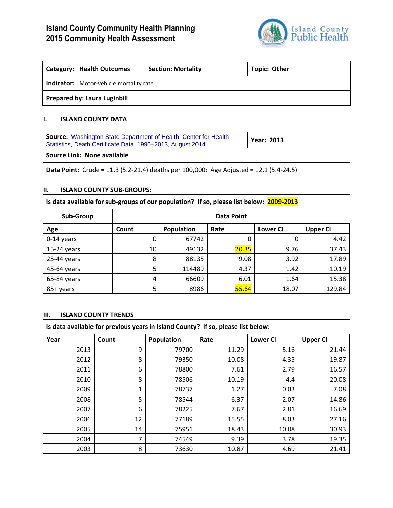# **Island County Community Health Planning 2015 Community Health Assessment**



| <b>Category: Health Outcomes</b>        | <b>Section: Mortality</b> | <b>Topic: Other</b> |  |  |
|-----------------------------------------|---------------------------|---------------------|--|--|
| Indicator: Motor-vehicle mortality rate |                           |                     |  |  |
| <b>Prepared by: Laura Luginbill</b>     |                           |                     |  |  |

# **I. ISLAND COUNTY DATA**

| <b>Source:</b> Washington State Department of Health, Center for Health<br>Statistics, Death Certificate Data, 1990-2013, August 2014. | <b>Year: 2013</b> |  |  |  |
|----------------------------------------------------------------------------------------------------------------------------------------|-------------------|--|--|--|
| Source Link: None available                                                                                                            |                   |  |  |  |
| <b>Data Point:</b> Crude = 11.3 (5.2-21.4) deaths per 100,000; Age Adjusted = 12.1 (5.4-24.5)                                          |                   |  |  |  |

# **II. ISLAND COUNTY SUB-GROUPS:**

| Is data available for sub-groups of our population? If so, please list below: 2009-2013 |            |            |       |                 |                 |
|-----------------------------------------------------------------------------------------|------------|------------|-------|-----------------|-----------------|
| Sub-Group                                                                               | Data Point |            |       |                 |                 |
| Age                                                                                     | Count      | Population | Rate  | <b>Lower CI</b> | <b>Upper CI</b> |
| $0-14$ years                                                                            |            | 67742      | 0     | 0               | 4.42            |
| $15-24$ years                                                                           | 10         | 49132      | 20.35 | 9.76            | 37.43           |
| $25-44$ years                                                                           | 8          | 88135      | 9.08  | 3.92            | 17.89           |
| 45-64 years                                                                             | 5          | 114489     | 4.37  | 1.42            | 10.19           |
| 65-84 years                                                                             | 4          | 66609      | 6.01  | 1.64            | 15.38           |
| 85+ years                                                                               | 5          | 8986       | 55.64 | 18.07           | 129.84          |

## **III. ISLAND COUNTY TRENDS**

| Is data available for previous years in Island County? If so, please list below: |       |            |       |                 |                 |
|----------------------------------------------------------------------------------|-------|------------|-------|-----------------|-----------------|
| Year                                                                             | Count | Population | Rate  | <b>Lower CI</b> | <b>Upper CI</b> |
| 2013                                                                             | 9     | 79700      | 11.29 | 5.16            | 21.44           |
| 2012                                                                             | 8     | 79350      | 10.08 | 4.35            | 19.87           |
| 2011                                                                             | 6     | 78800      | 7.61  | 2.79            | 16.57           |
| 2010                                                                             | 8     | 78506      | 10.19 | 4.4             | 20.08           |
| 2009                                                                             | 1     | 78737      | 1.27  | 0.03            | 7.08            |
| 2008                                                                             | 5     | 78544      | 6.37  | 2.07            | 14.86           |
| 2007                                                                             | 6     | 78225      | 7.67  | 2.81            | 16.69           |
| 2006                                                                             | 12    | 77189      | 15.55 | 8.03            | 27.16           |
| 2005                                                                             | 14    | 75951      | 18.43 | 10.08           | 30.93           |
| 2004                                                                             | 7     | 74549      | 9.39  | 3.78            | 19.35           |
| 2003                                                                             | 8     | 73630      | 10.87 | 4.69            | 21.41           |